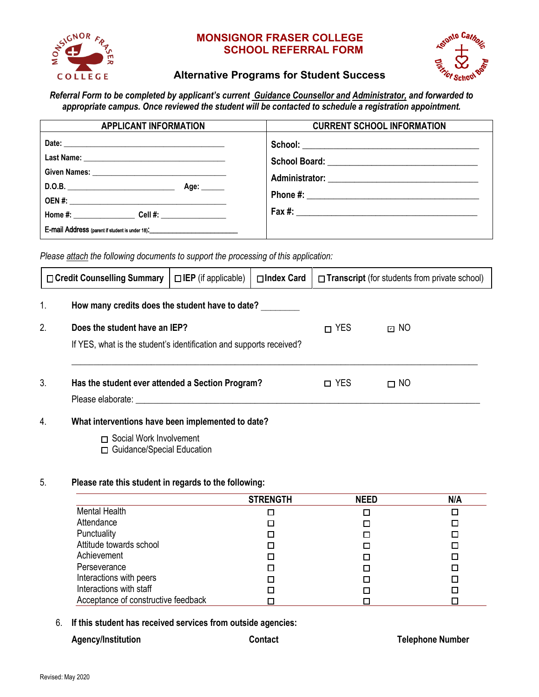

## **MONSIGNOR FRASER COLLEGE SCHOOL REFERRAL FORM**



# **Alternative Programs for Student Success**

*Referral Form to be completed by applicant's current Guidance Counsellor and Administrator, and forwarded to appropriate campus. Once reviewed the student will be contacted to schedule a registration appointment.*

| <b>APPLICANT INFORMATION</b>                                                                                                                                                                                                                                                                                                                                                                             | <b>CURRENT SCHOOL INFORMATION</b> |
|----------------------------------------------------------------------------------------------------------------------------------------------------------------------------------------------------------------------------------------------------------------------------------------------------------------------------------------------------------------------------------------------------------|-----------------------------------|
| Date: Note: Note: Note: Note: Note: Note: Note: Note: Note: Note: Note: Note: Note: Note: Note: Note: Note: Note: Note: Note: Note: Note: Note: Note: Note: Note: Note: Note: Note: Note: Note: Note: Note: Note: Note: Note:<br>D.O.B.<br>Age: $\qquad \qquad$<br>Home $\#$ : Cell $\#$ :<br>E-mail Address (parent if student is under 18).<br><u>E</u> -mail Address (parent if student is under 18). |                                   |

*Please attach the following documents to support the processing of this application:*

|                                                 | □ Credit Counselling Summary   □ IEP (if applicable)   □ Index Card   □ Transcript (for students from private school) |  |  |  |
|-------------------------------------------------|-----------------------------------------------------------------------------------------------------------------------|--|--|--|
| How many credits does the student have to date? |                                                                                                                       |  |  |  |

| 2. | Does the student have an IEP?<br>If YES, what is the student's identification and supports received? | $\Box$ YES | ⊡ NO      |
|----|------------------------------------------------------------------------------------------------------|------------|-----------|
| 3. | Has the student ever attended a Section Program?<br>Please elaborate:                                | □ YES      | $\Box$ NO |

## 4. **What interventions have been implemented to date?**

- □ Social Work Involvement
- □ Guidance/Special Education

## 5. **Please rate this student in regards to the following:**

|                                     | <b>STRENGTH</b> | <b>NEED</b> | N/A |
|-------------------------------------|-----------------|-------------|-----|
| <b>Mental Health</b>                |                 |             |     |
| Attendance                          |                 |             |     |
| Punctuality                         |                 |             |     |
| Attitude towards school             |                 |             |     |
| Achievement                         |                 |             |     |
| Perseverance                        |                 |             |     |
| Interactions with peers             |                 |             |     |
| Interactions with staff             |                 |             |     |
| Acceptance of constructive feedback |                 |             |     |

#### 6. **If this student has received services from outside agencies:**

|  | Agency/Institution |  |
|--|--------------------|--|
|--|--------------------|--|